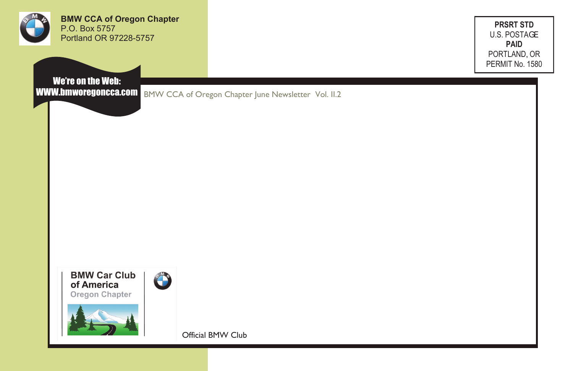

**BMW CCA of Oregon Chapter** P.O. Box 5757 Portland OR 97228-5757

**PRSRT STD** U.S. POSTAGE **PAID** PORTLAND, OR PERMIT No. 1580

We're on the Web:

WWW.bmworegoncca.com BMW CCA of Oregon Chapter June Newsletter Vol. II.2



**CONTRACTOR** 



Official BMW Club